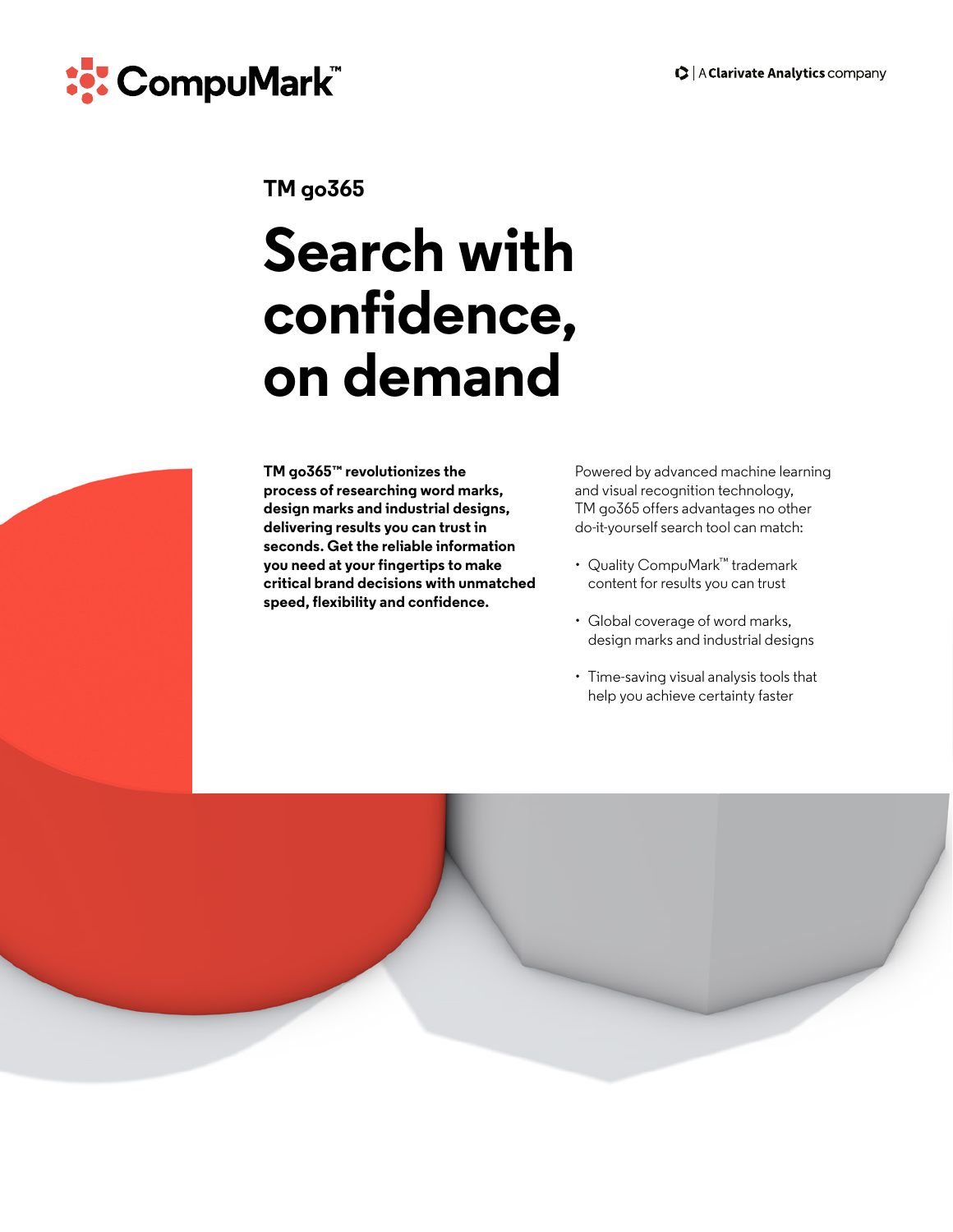

# **TM go365**

# **Search with confidence, on demand**

**TM go365™ revolutionizes the process of researching word marks, design marks and industrial designs, delivering results you can trust in seconds. Get the reliable information you need at your fingertips to make critical brand decisions with unmatched speed, flexibility and confidence.**

Powered by advanced machine learning and visual recognition technology, TM go365 offers advantages no other do-it-yourself search tool can match:

- Quality CompuMark™ trademark content for results you can trust
- Global coverage of word marks, design marks and industrial designs
- Time-saving visual analysis tools that help you achieve certainty faster

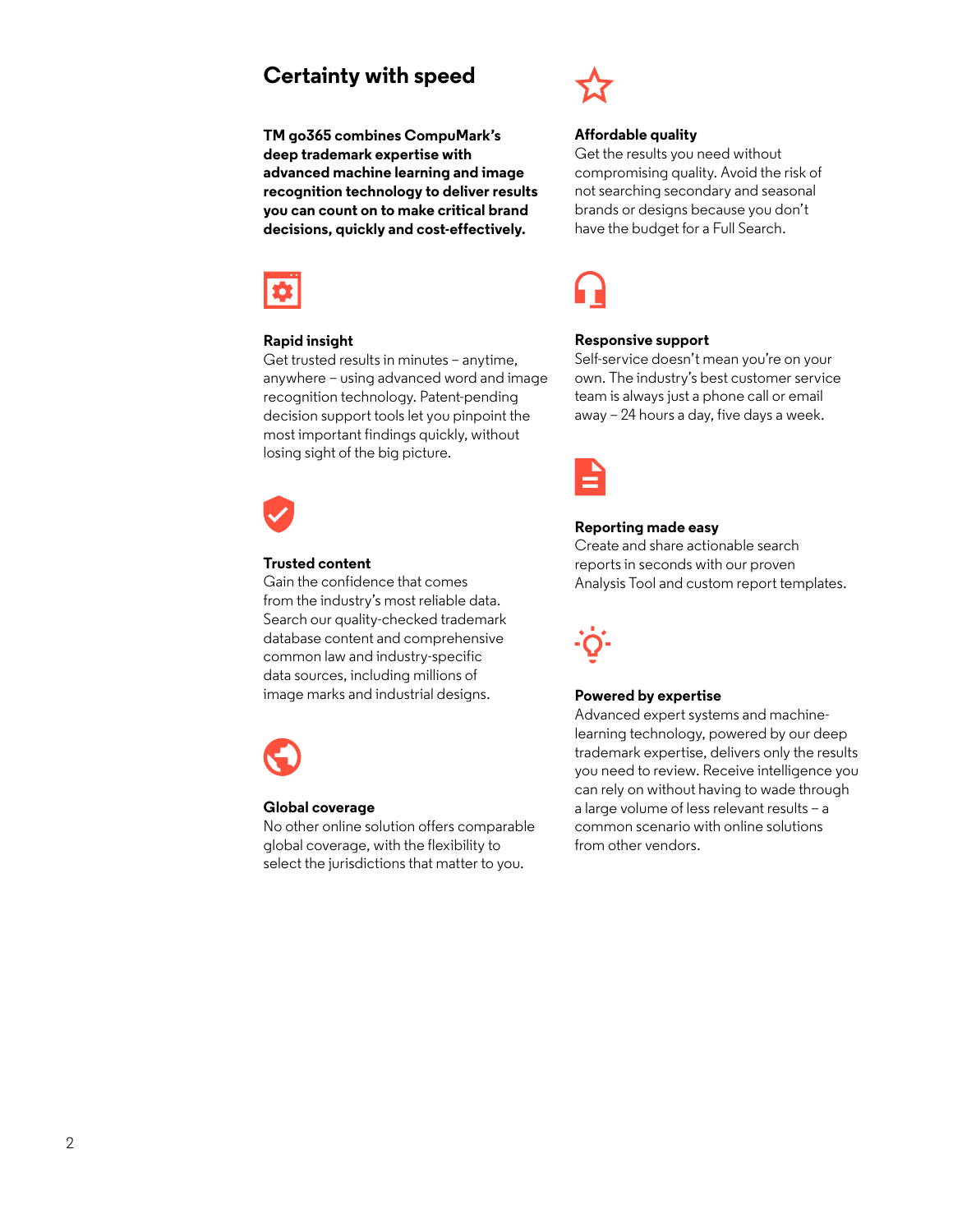# **Certainty with speed**

**TM go365 combines CompuMark's deep trademark expertise with advanced machine learning and image recognition technology to deliver results you can count on to make critical brand decisions, quickly and cost-effectively.**



## **Rapid insight**

Get trusted results in minutes – anytime, anywhere – using advanced word and image recognition technology. Patent-pending decision support tools let you pinpoint the most important findings quickly, without losing sight of the big picture.



## **Trusted content**

Gain the confidence that comes from the industry's most reliable data. Search our quality-checked trademark database content and comprehensive common law and industry-specific data sources, including millions of image marks and industrial designs.



#### **Global coverage**

No other online solution offers comparable global coverage, with the flexibility to select the jurisdictions that matter to you.



#### **Affordable quality**

Get the results you need without compromising quality. Avoid the risk of not searching secondary and seasonal brands or designs because you don't have the budget for a Full Search.



#### **Responsive support**

Self-service doesn't mean you're on your own. The industry's best customer service team is always just a phone call or email away – 24 hours a day, five days a week.



#### **Reporting made easy**

Create and share actionable search reports in seconds with our proven Analysis Tool and custom report templates.



#### **Powered by expertise**

Advanced expert systems and machinelearning technology, powered by our deep trademark expertise, delivers only the results you need to review. Receive intelligence you can rely on without having to wade through a large volume of less relevant results – a common scenario with online solutions from other vendors.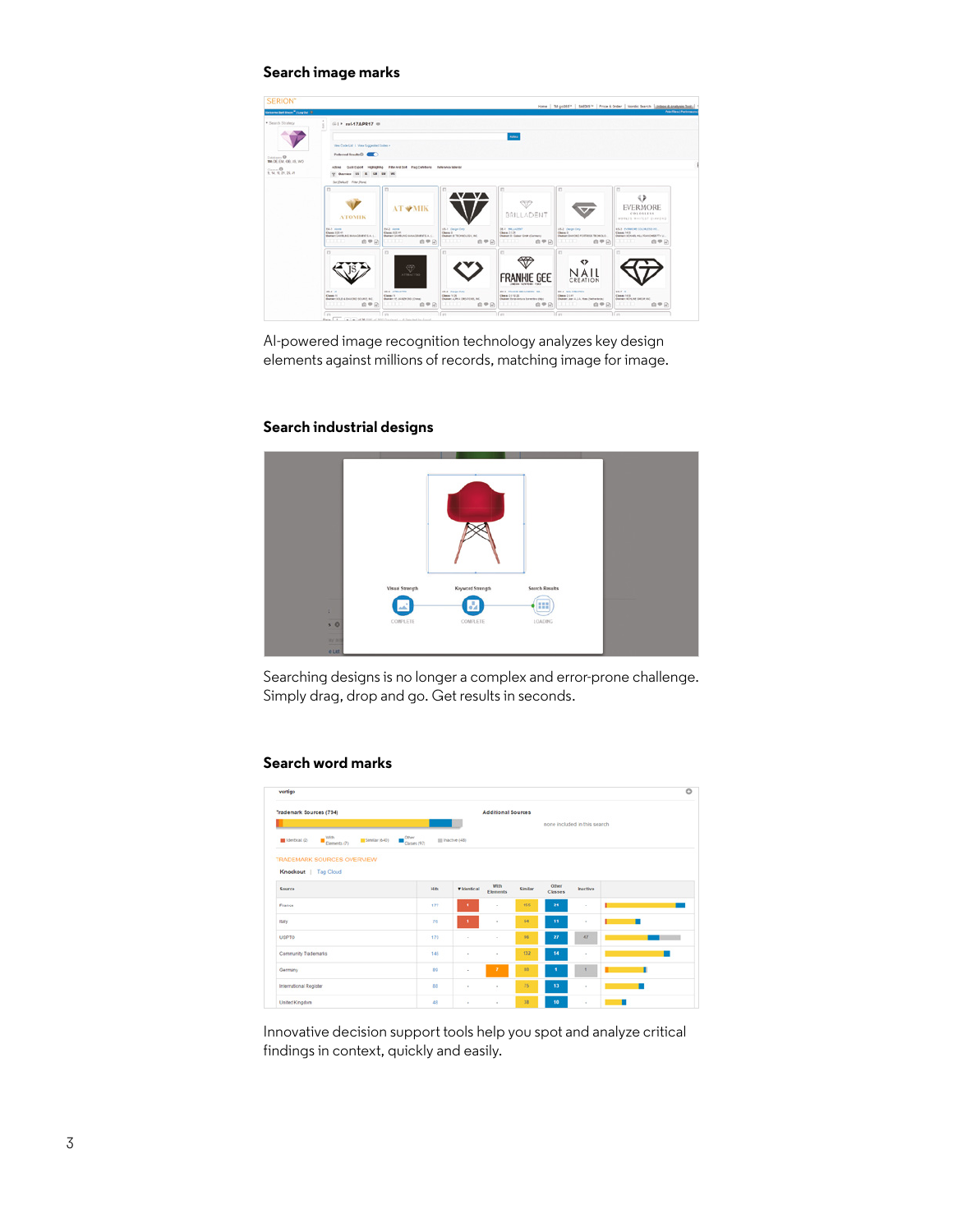### **Search image marks**



AI-powered image recognition technology analyzes key design elements against millions of records, matching image for image.

# **Search industrial designs**



Searching designs is no longer a complex and error-prone challenge. Simply drag, drop and go. Get results in seconds.

# **Search word marks**

| vertigo                                                             |                                                     |                              |                                |         |                  |                 |                           |
|---------------------------------------------------------------------|-----------------------------------------------------|------------------------------|--------------------------------|---------|------------------|-----------------|---------------------------|
| Trademark Sources (794)<br><b>Additional Sources</b>                |                                                     |                              |                                |         |                  |                 |                           |
|                                                                     |                                                     | none included in this search |                                |         |                  |                 |                           |
| $\blacksquare$ With Elements (7)<br>Similar (640)<br>Interbal $(2)$ | $\blacksquare^{\text{Othor}}_{\text{Classes (97)}}$ | III Inaczył (48)             |                                |         |                  |                 |                           |
| TRADEMARK SOURCES OVERVIEW                                          |                                                     |                              |                                |         |                  |                 |                           |
| Knockout   Tag Cloud                                                |                                                     |                              |                                |         |                  |                 |                           |
| Source                                                              | <b>Hits</b>                                         | <b>v</b> Identical           | <b>With</b><br><b>Elements</b> | Similar | Other<br>Classes | <b>Inactive</b> |                           |
| France                                                              | 177                                                 | л.                           | $\alpha$                       | 155     | 21               | $\alpha$        | <b>The Common Section</b> |
| Italy                                                               | 76                                                  | ×.                           | $\alpha$                       | 64      | 11               | ٠               | ٠                         |
| <b>USPTO</b>                                                        | 170                                                 | $\sim$                       | $\sim$                         | 96      | 27               | 57              |                           |
| Community Trademarks                                                | 146                                                 | ×                            | $\sim$                         | 132     | 14               | $\sim$          |                           |
| Germany                                                             | bo <sup>1</sup>                                     | $\sim$                       | Ŧ                              | 10      | ٠                |                 | ٠                         |
| International Register                                              | 88                                                  | $\alpha$                     | $\alpha$                       | 75      | 13               | $\alpha$        |                           |
|                                                                     |                                                     |                              |                                |         |                  |                 |                           |

Innovative decision support tools help you spot and analyze critical findings in context, quickly and easily.